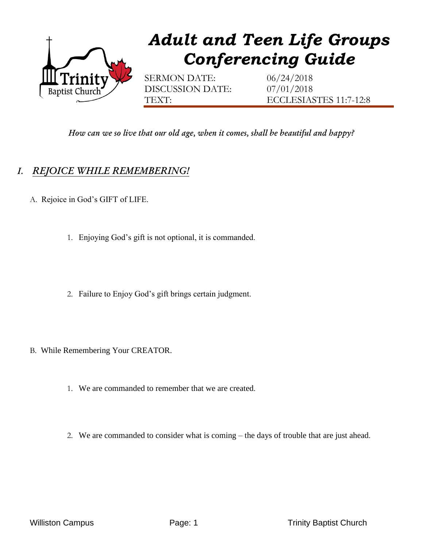

*How can we so live that our old age, when it comes, shall be beautiful and happy?*

## *I. REJOICE WHILE REMEMBERING!*

- A. Rejoice in God's GIFT of LIFE.
	- 1. Enjoying God's gift is not optional, it is commanded.
	- 2. Failure to Enjoy God's gift brings certain judgment.
- B. While Remembering Your CREATOR.
	- 1. We are commanded to remember that we are created.
	- 2. We are commanded to consider what is coming the days of trouble that are just ahead.